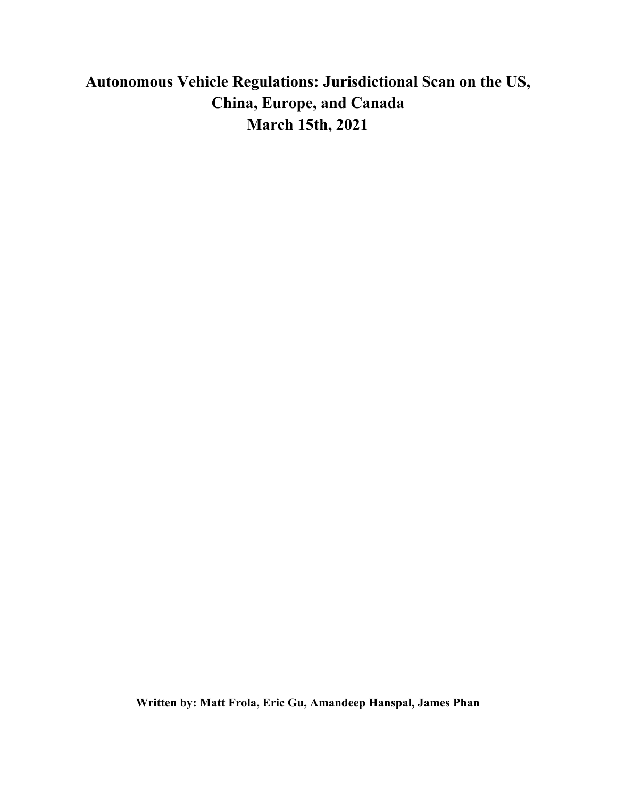# **Autonomous Vehicle Regulations: Jurisdictional Scan on the US, China, Europe, and Canada March 15th, 2021**

**Written by: Matt Frola, Eric Gu, Amandeep Hanspal, James Phan**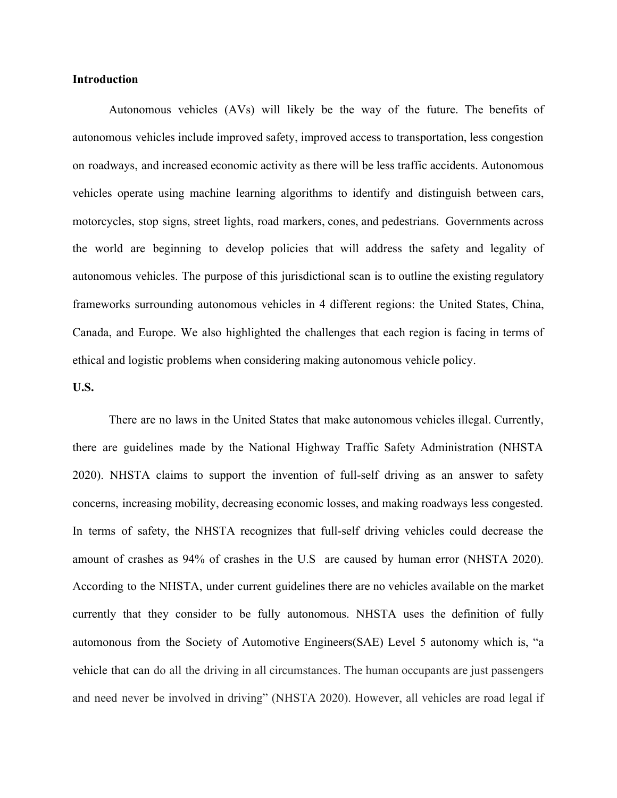#### **Introduction**

Autonomous vehicles (AVs) will likely be the way of the future. The benefits of autonomous vehicles include improved safety, improved access to transportation, less congestion on roadways, and increased economic activity as there will be less traffic accidents. Autonomous vehicles operate using machine learning algorithms to identify and distinguish between cars, motorcycles, stop signs, street lights, road markers, cones, and pedestrians. Governments across the world are beginning to develop policies that will address the safety and legality of autonomous vehicles. The purpose of this jurisdictional scan is to outline the existing regulatory frameworks surrounding autonomous vehicles in 4 different regions: the United States, China, Canada, and Europe. We also highlighted the challenges that each region is facing in terms of ethical and logistic problems when considering making autonomous vehicle policy.

### **U.S.**

There are no laws in the United States that make autonomous vehicles illegal. Currently, there are guidelines made by the National Highway Traffic Safety Administration (NHSTA 2020). NHSTA claims to support the invention of full-self driving as an answer to safety concerns, increasing mobility, decreasing economic losses, and making roadways less congested. In terms of safety, the NHSTA recognizes that full-self driving vehicles could decrease the amount of crashes as 94% of crashes in the U.S are caused by human error (NHSTA 2020). According to the NHSTA, under current guidelines there are no vehicles available on the market currently that they consider to be fully autonomous. NHSTA uses the definition of fully automonous from the Society of Automotive Engineers(SAE) Level 5 autonomy which is, "a vehicle that can do all the driving in all circumstances. The human occupants are just passengers and need never be involved in driving" (NHSTA 2020). However, all vehicles are road legal if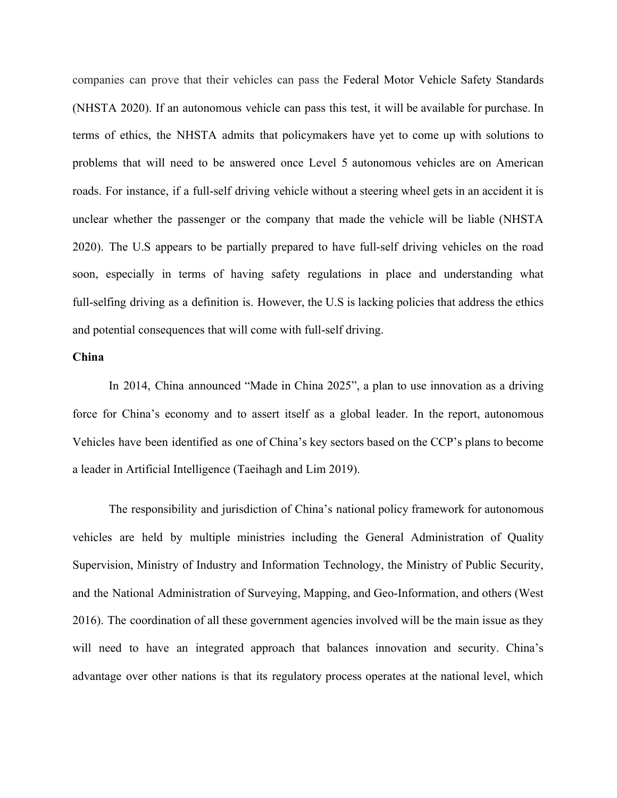companies can prove that their vehicles can pass the Federal Motor Vehicle Safety Standards (NHSTA 2020). If an autonomous vehicle can pass this test, it will be available for purchase. In terms of ethics, the NHSTA admits that policymakers have yet to come up with solutions to problems that will need to be answered once Level 5 autonomous vehicles are on American roads. For instance, if a full-self driving vehicle without a steering wheel gets in an accident it is unclear whether the passenger or the company that made the vehicle will be liable (NHSTA 2020). The U.S appears to be partially prepared to have full-self driving vehicles on the road soon, especially in terms of having safety regulations in place and understanding what full-selfing driving as a definition is. However, the U.S is lacking policies that address the ethics and potential consequences that will come with full-self driving.

#### **China**

In 2014, China announced "Made in China 2025", a plan to use innovation as a driving force for China's economy and to assert itself as a global leader. In the report, autonomous Vehicles have been identified as one of China's key sectors based on the CCP's plans to become a leader in Artificial Intelligence (Taeihagh and Lim 2019).

The responsibility and jurisdiction of China's national policy framework for autonomous vehicles are held by multiple ministries including the General Administration of Quality Supervision, Ministry of Industry and Information Technology, the Ministry of Public Security, and the National Administration of Surveying, Mapping, and Geo-Information, and others (West 2016). The coordination of all these government agencies involved will be the main issue as they will need to have an integrated approach that balances innovation and security. China's advantage over other nations is that its regulatory process operates at the national level, which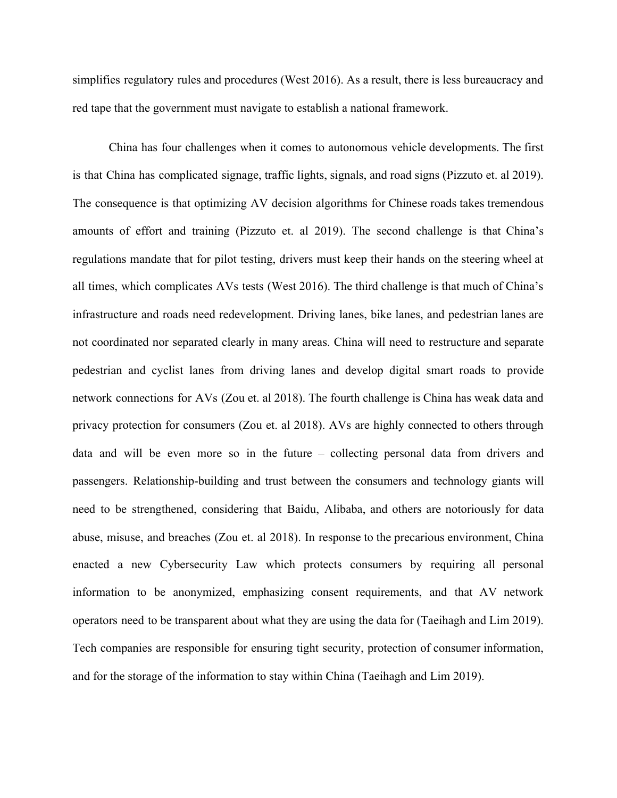simplifies regulatory rules and procedures (West 2016). As a result, there is less bureaucracy and red tape that the government must navigate to establish a national framework.

China has four challenges when it comes to autonomous vehicle developments. The first is that China has complicated signage, traffic lights, signals, and road signs (Pizzuto et. al 2019). The consequence is that optimizing AV decision algorithms for Chinese roads takes tremendous amounts of effort and training (Pizzuto et. al 2019). The second challenge is that China's regulations mandate that for pilot testing, drivers must keep their hands on the steering wheel at all times, which complicates AVs tests (West 2016). The third challenge is that much of China's infrastructure and roads need redevelopment. Driving lanes, bike lanes, and pedestrian lanes are not coordinated nor separated clearly in many areas. China will need to restructure and separate pedestrian and cyclist lanes from driving lanes and develop digital smart roads to provide network connections for AVs (Zou et. al 2018). The fourth challenge is China has weak data and privacy protection for consumers (Zou et. al 2018). AVs are highly connected to others through data and will be even more so in the future – collecting personal data from drivers and passengers. Relationship-building and trust between the consumers and technology giants will need to be strengthened, considering that Baidu, Alibaba, and others are notoriously for data abuse, misuse, and breaches (Zou et. al 2018). In response to the precarious environment, China enacted a new Cybersecurity Law which protects consumers by requiring all personal information to be anonymized, emphasizing consent requirements, and that AV network operators need to be transparent about what they are using the data for (Taeihagh and Lim 2019). Tech companies are responsible for ensuring tight security, protection of consumer information, and for the storage of the information to stay within China (Taeihagh and Lim 2019).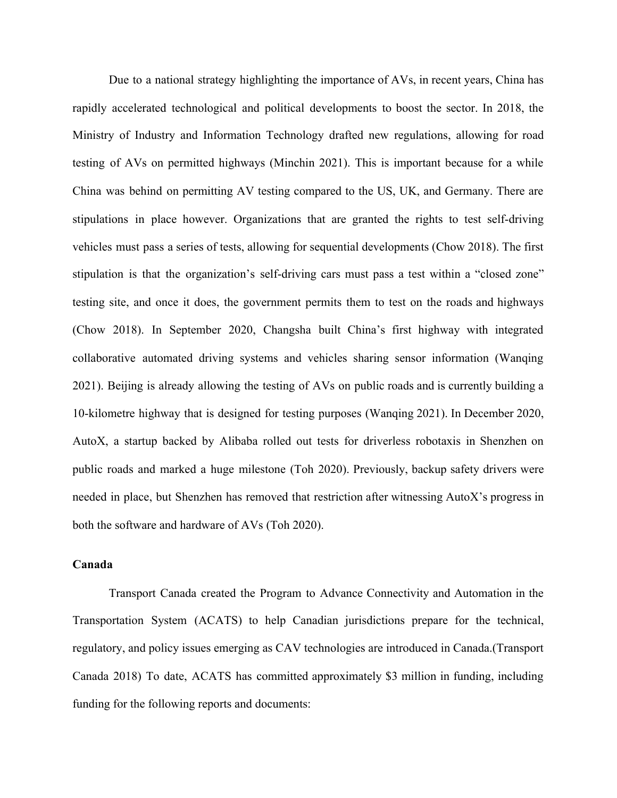Due to a national strategy highlighting the importance of AVs, in recent years, China has rapidly accelerated technological and political developments to boost the sector. In 2018, the Ministry of Industry and Information Technology drafted new regulations, allowing for road testing of AVs on permitted highways (Minchin 2021). This is important because for a while China was behind on permitting AV testing compared to the US, UK, and Germany. There are stipulations in place however. Organizations that are granted the rights to test self-driving vehicles must pass a series of tests, allowing for sequential developments (Chow 2018). The first stipulation is that the organization's self-driving cars must pass a test within a "closed zone" testing site, and once it does, the government permits them to test on the roads and highways (Chow 2018). In September 2020, Changsha built China's first highway with integrated collaborative automated driving systems and vehicles sharing sensor information (Wanqing 2021). Beijing is already allowing the testing of AVs on public roads and is currently building a 10-kilometre highway that is designed for testing purposes (Wanqing 2021). In December 2020, AutoX, a startup backed by Alibaba rolled out tests for driverless robotaxis in Shenzhen on public roads and marked a huge milestone (Toh 2020). Previously, backup safety drivers were needed in place, but Shenzhen has removed that restriction after witnessing AutoX's progress in both the software and hardware of AVs (Toh 2020).

#### **Canada**

Transport Canada created the Program to Advance Connectivity and Automation in the Transportation System (ACATS) to help Canadian jurisdictions prepare for the technical, regulatory, and policy issues emerging as CAV technologies are introduced in Canada.(Transport Canada 2018) To date, ACATS has committed approximately \$3 million in funding, including funding for the following reports and documents: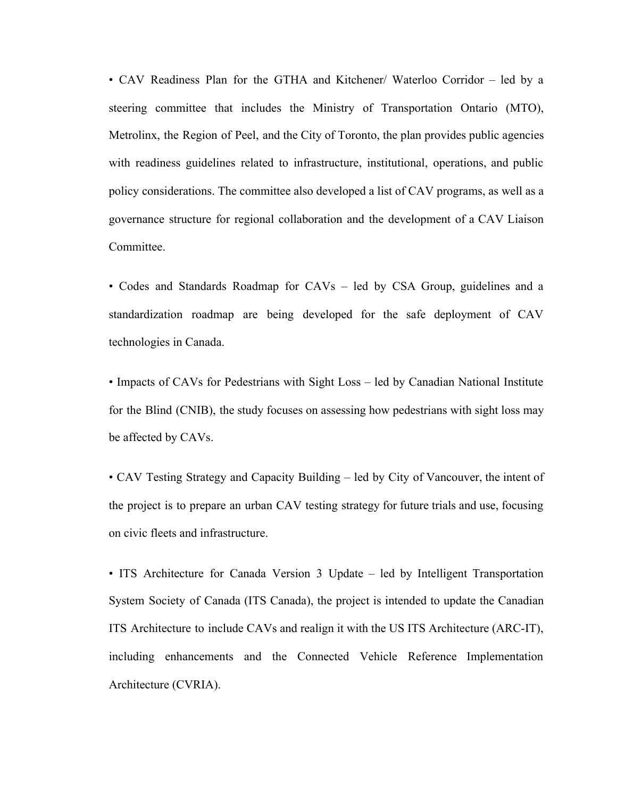• CAV Readiness Plan for the GTHA and Kitchener/ Waterloo Corridor – led by a steering committee that includes the Ministry of Transportation Ontario (MTO), Metrolinx, the Region of Peel, and the City of Toronto, the plan provides public agencies with readiness guidelines related to infrastructure, institutional, operations, and public policy considerations. The committee also developed a list of CAV programs, as well as a governance structure for regional collaboration and the development of a CAV Liaison Committee.

• Codes and Standards Roadmap for CAVs – led by CSA Group, guidelines and a standardization roadmap are being developed for the safe deployment of CAV technologies in Canada.

• Impacts of CAVs for Pedestrians with Sight Loss – led by Canadian National Institute for the Blind (CNIB), the study focuses on assessing how pedestrians with sight loss may be affected by CAVs.

• CAV Testing Strategy and Capacity Building – led by City of Vancouver, the intent of the project is to prepare an urban CAV testing strategy for future trials and use, focusing on civic fleets and infrastructure.

• ITS Architecture for Canada Version 3 Update – led by Intelligent Transportation System Society of Canada (ITS Canada), the project is intended to update the Canadian ITS Architecture to include CAVs and realign it with the US ITS Architecture (ARC-IT), including enhancements and the Connected Vehicle Reference Implementation Architecture (CVRIA).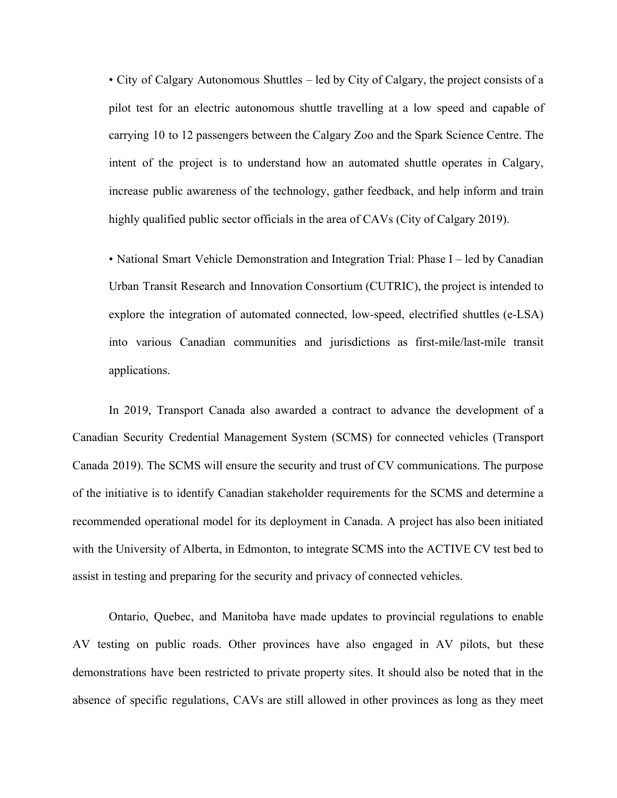• City of Calgary Autonomous Shuttles – led by City of Calgary, the project consists of a pilot test for an electric autonomous shuttle travelling at a low speed and capable of carrying 10 to 12 passengers between the Calgary Zoo and the Spark Science Centre. The intent of the project is to understand how an automated shuttle operates in Calgary, increase public awareness of the technology, gather feedback, and help inform and train highly qualified public sector officials in the area of CAVs (City of Calgary 2019).

• National Smart Vehicle Demonstration and Integration Trial: Phase I – led by Canadian Urban Transit Research and Innovation Consortium (CUTRIC), the project is intended to explore the integration of automated connected, low-speed, electrified shuttles (e-LSA) into various Canadian communities and jurisdictions as first-mile/last-mile transit applications.

In 2019, Transport Canada also awarded a contract to advance the development of a Canadian Security Credential Management System (SCMS) for connected vehicles (Transport Canada 2019). The SCMS will ensure the security and trust of CV communications. The purpose of the initiative is to identify Canadian stakeholder requirements for the SCMS and determine a recommended operational model for its deployment in Canada. A project has also been initiated with the University of Alberta, in Edmonton, to integrate SCMS into the ACTIVE CV test bed to assist in testing and preparing for the security and privacy of connected vehicles.

Ontario, Quebec, and Manitoba have made updates to provincial regulations to enable AV testing on public roads. Other provinces have also engaged in AV pilots, but these demonstrations have been restricted to private property sites. It should also be noted that in the absence of specific regulations, CAVs are still allowed in other provinces as long as they meet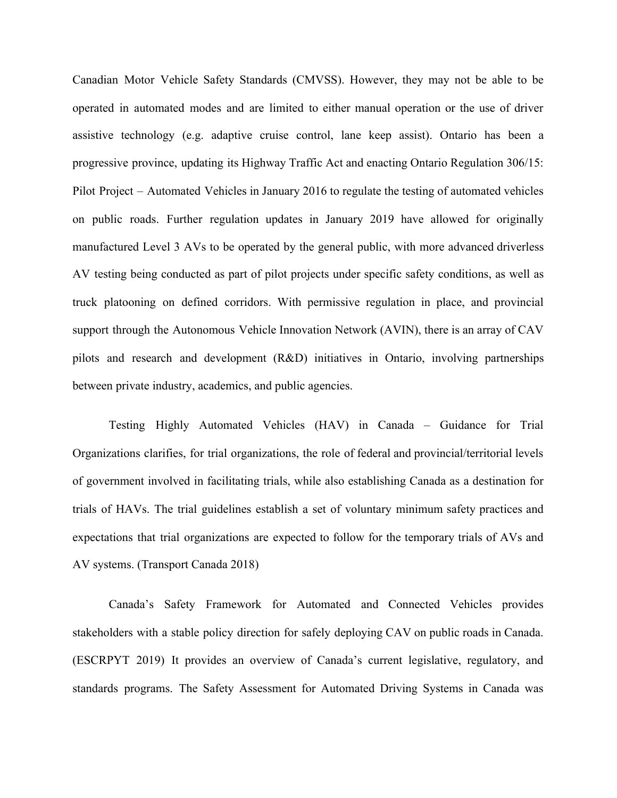Canadian Motor Vehicle Safety Standards (CMVSS). However, they may not be able to be operated in automated modes and are limited to either manual operation or the use of driver assistive technology (e.g. adaptive cruise control, lane keep assist). Ontario has been a progressive province, updating its Highway Traffic Act and enacting Ontario Regulation 306/15: Pilot Project – Automated Vehicles in January 2016 to regulate the testing of automated vehicles on public roads. Further regulation updates in January 2019 have allowed for originally manufactured Level 3 AVs to be operated by the general public, with more advanced driverless AV testing being conducted as part of pilot projects under specific safety conditions, as well as truck platooning on defined corridors. With permissive regulation in place, and provincial support through the Autonomous Vehicle Innovation Network (AVIN), there is an array of CAV pilots and research and development (R&D) initiatives in Ontario, involving partnerships between private industry, academics, and public agencies.

Testing Highly Automated Vehicles (HAV) in Canada – Guidance for Trial Organizations clarifies, for trial organizations, the role of federal and provincial/territorial levels of government involved in facilitating trials, while also establishing Canada as a destination for trials of HAVs. The trial guidelines establish a set of voluntary minimum safety practices and expectations that trial organizations are expected to follow for the temporary trials of AVs and AV systems. (Transport Canada 2018)

Canada's Safety Framework for Automated and Connected Vehicles provides stakeholders with a stable policy direction for safely deploying CAV on public roads in Canada. (ESCRPYT 2019) It provides an overview of Canada's current legislative, regulatory, and standards programs. The Safety Assessment for Automated Driving Systems in Canada was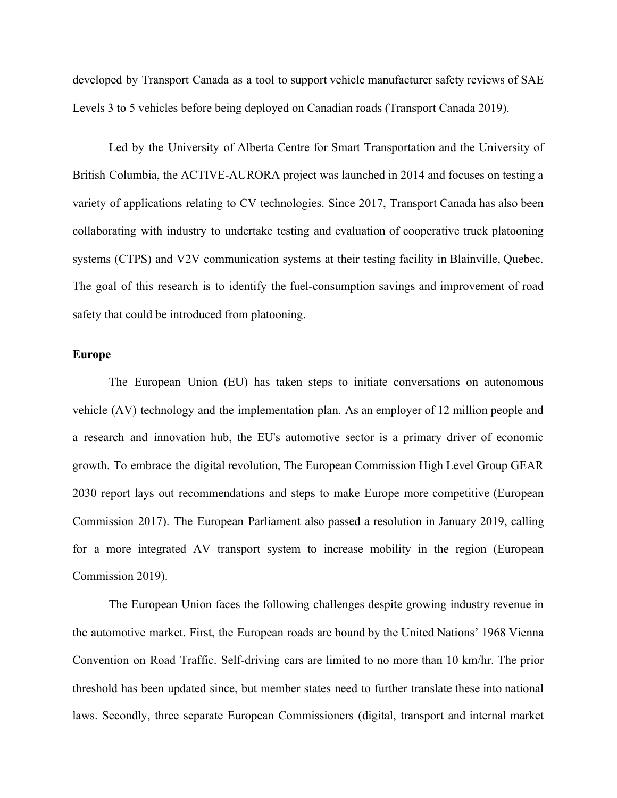developed by Transport Canada as a tool to support vehicle manufacturer safety reviews of SAE Levels 3 to 5 vehicles before being deployed on Canadian roads (Transport Canada 2019).

Led by the University of Alberta Centre for Smart Transportation and the University of British Columbia, the ACTIVE-AURORA project was launched in 2014 and focuses on testing a variety of applications relating to CV technologies. Since 2017, Transport Canada has also been collaborating with industry to undertake testing and evaluation of cooperative truck platooning systems (CTPS) and V2V communication systems at their testing facility in Blainville, Quebec. The goal of this research is to identify the fuel-consumption savings and improvement of road safety that could be introduced from platooning.

#### **Europe**

The European Union (EU) has taken steps to initiate conversations on autonomous vehicle (AV) technology and the implementation plan. As an employer of 12 million people and a research and innovation hub, the EU's automotive sector is a primary driver of economic growth. To embrace the digital revolution, The European Commission High Level Group GEAR 2030 report lays out recommendations and steps to make Europe more competitive (European Commission 2017). The European Parliament also passed a resolution in January 2019, calling for a more integrated AV transport system to increase mobility in the region (European Commission 2019).

The European Union faces the following challenges despite growing industry revenue in the automotive market. First, the European roads are bound by the United Nations' 1968 Vienna Convention on Road Traffic. Self-driving cars are limited to no more than 10 km/hr. The prior threshold has been updated since, but member states need to further translate these into national laws. Secondly, three separate European Commissioners (digital, transport and internal market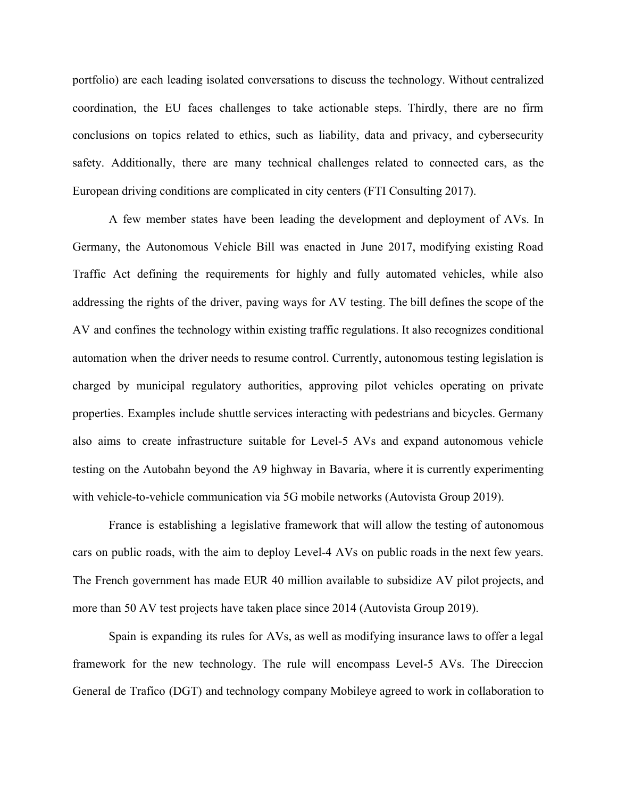portfolio) are each leading isolated conversations to discuss the technology. Without centralized coordination, the EU faces challenges to take actionable steps. Thirdly, there are no firm conclusions on topics related to ethics, such as liability, data and privacy, and cybersecurity safety. Additionally, there are many technical challenges related to connected cars, as the European driving conditions are complicated in city centers (FTI Consulting 2017).

A few member states have been leading the development and deployment of AVs. In Germany, the Autonomous Vehicle Bill was enacted in June 2017, modifying existing Road Traffic Act defining the requirements for highly and fully automated vehicles, while also addressing the rights of the driver, paving ways for AV testing. The bill defines the scope of the AV and confines the technology within existing traffic regulations. It also recognizes conditional automation when the driver needs to resume control. Currently, autonomous testing legislation is charged by municipal regulatory authorities, approving pilot vehicles operating on private properties. Examples include shuttle services interacting with pedestrians and bicycles. Germany also aims to create infrastructure suitable for Level-5 AVs and expand autonomous vehicle testing on the Autobahn beyond the A9 highway in Bavaria, where it is currently experimenting with vehicle-to-vehicle communication via 5G mobile networks (Autovista Group 2019).

France is establishing a legislative framework that will allow the testing of autonomous cars on public roads, with the aim to deploy Level-4 AVs on public roads in the next few years. The French government has made EUR 40 million available to subsidize AV pilot projects, and more than 50 AV test projects have taken place since 2014 (Autovista Group 2019).

Spain is expanding its rules for AVs, as well as modifying insurance laws to offer a legal framework for the new technology. The rule will encompass Level-5 AVs. The Direccion General de Trafico (DGT) and technology company Mobileye agreed to work in collaboration to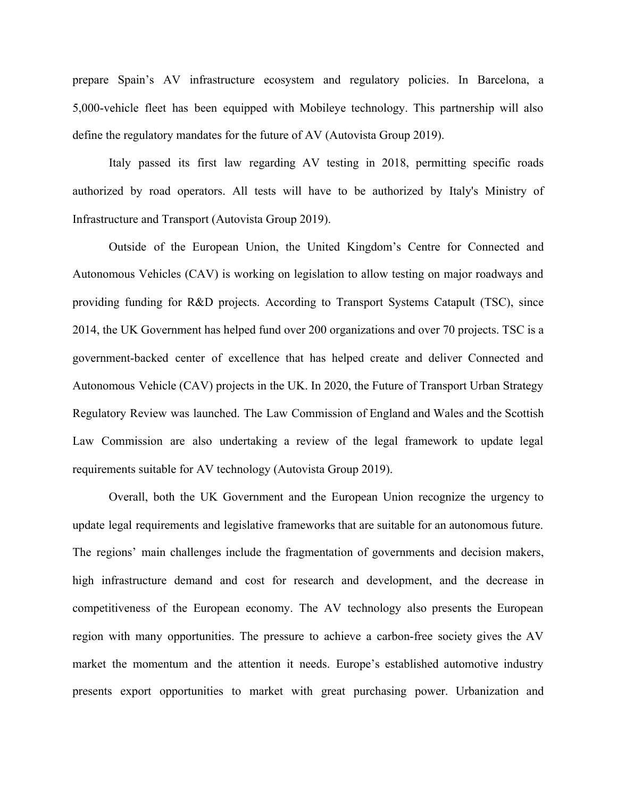prepare Spain's AV infrastructure ecosystem and regulatory policies. In Barcelona, a 5,000-vehicle fleet has been equipped with Mobileye technology. This partnership will also define the regulatory mandates for the future of AV (Autovista Group 2019).

Italy passed its first law regarding AV testing in 2018, permitting specific roads authorized by road operators. All tests will have to be authorized by Italy's Ministry of Infrastructure and Transport (Autovista Group 2019).

Outside of the European Union, the United Kingdom's Centre for Connected and Autonomous Vehicles (CAV) is working on legislation to allow testing on major roadways and providing funding for R&D projects. According to Transport Systems Catapult (TSC), since 2014, the UK Government has helped fund over 200 organizations and over 70 projects. TSC is a government-backed center of excellence that has helped create and deliver Connected and Autonomous Vehicle (CAV) projects in the UK. In 2020, the Future of Transport Urban Strategy Regulatory Review was launched. The Law Commission of England and Wales and the Scottish Law Commission are also undertaking a review of the legal framework to update legal requirements suitable for AV technology (Autovista Group 2019).

Overall, both the UK Government and the European Union recognize the urgency to update legal requirements and legislative frameworks that are suitable for an autonomous future. The regions' main challenges include the fragmentation of governments and decision makers, high infrastructure demand and cost for research and development, and the decrease in competitiveness of the European economy. The AV technology also presents the European region with many opportunities. The pressure to achieve a carbon-free society gives the AV market the momentum and the attention it needs. Europe's established automotive industry presents export opportunities to market with great purchasing power. Urbanization and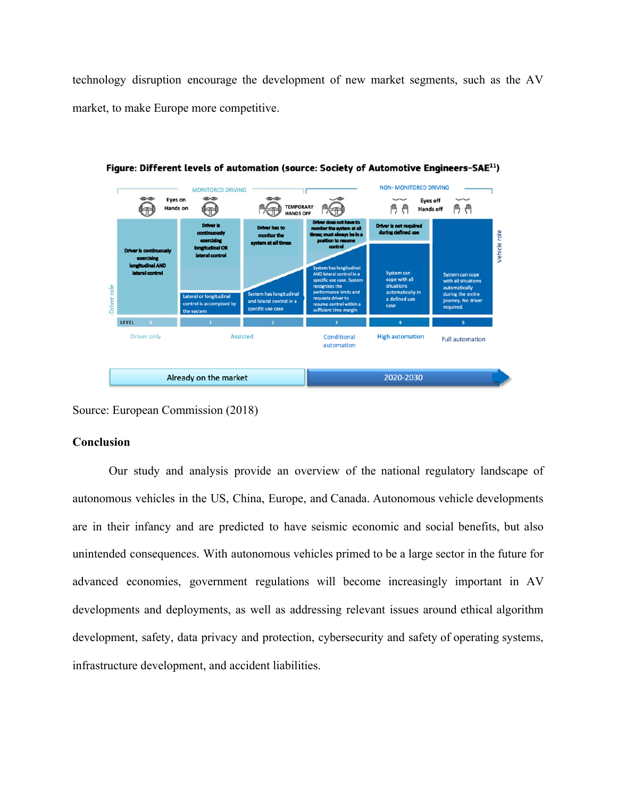technology disruption encourage the development of new market segments, such as the AV market, to make Europe more competitive.



Figure: Different levels of automation (source: Society of Automotive Engineers-SAE<sup>11</sup>)

Source: European Commission (2018)

## **Conclusion**

Our study and analysis provide an overview of the national regulatory landscape of autonomous vehicles in the US, China, Europe, and Canada. Autonomous vehicle developments are in their infancy and are predicted to have seismic economic and social benefits, but also unintended consequences. With autonomous vehicles primed to be a large sector in the future for advanced economies, government regulations will become increasingly important in AV developments and deployments, as well as addressing relevant issues around ethical algorithm development, safety, data privacy and protection, cybersecurity and safety of operating systems, infrastructure development, and accident liabilities.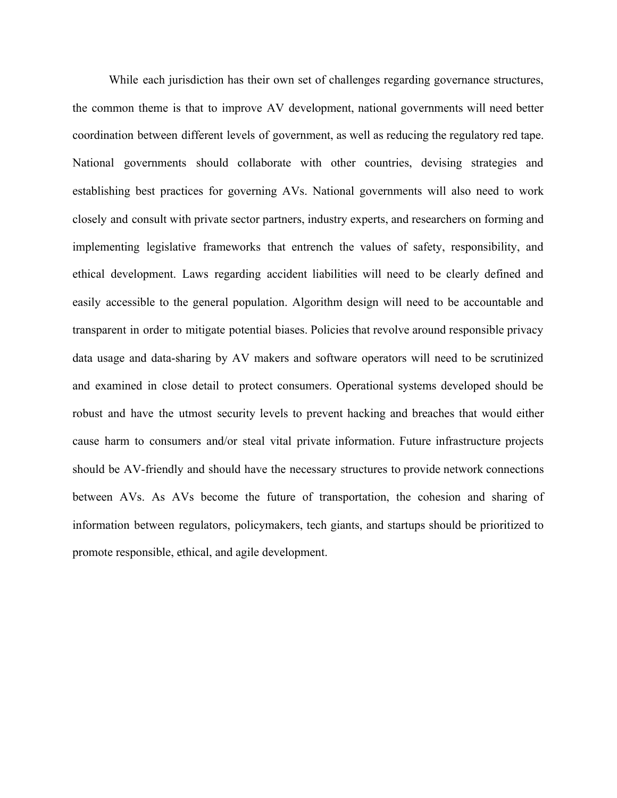While each jurisdiction has their own set of challenges regarding governance structures, the common theme is that to improve AV development, national governments will need better coordination between different levels of government, as well as reducing the regulatory red tape. National governments should collaborate with other countries, devising strategies and establishing best practices for governing AVs. National governments will also need to work closely and consult with private sector partners, industry experts, and researchers on forming and implementing legislative frameworks that entrench the values of safety, responsibility, and ethical development. Laws regarding accident liabilities will need to be clearly defined and easily accessible to the general population. Algorithm design will need to be accountable and transparent in order to mitigate potential biases. Policies that revolve around responsible privacy data usage and data-sharing by AV makers and software operators will need to be scrutinized and examined in close detail to protect consumers. Operational systems developed should be robust and have the utmost security levels to prevent hacking and breaches that would either cause harm to consumers and/or steal vital private information. Future infrastructure projects should be AV-friendly and should have the necessary structures to provide network connections between AVs. As AVs become the future of transportation, the cohesion and sharing of information between regulators, policymakers, tech giants, and startups should be prioritized to promote responsible, ethical, and agile development.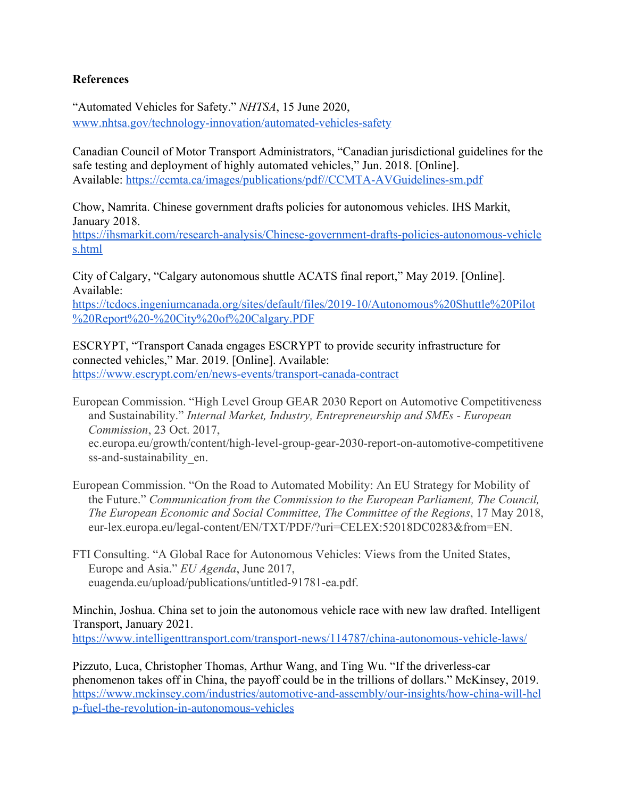# **References**

"Automated Vehicles for Safety." *NHTSA*, 15 June 2020, [www.nhtsa.gov/technology-innovation/automated-vehicles-safety](http://www.nhtsa.gov/technology-innovation/automated-vehicles-safety)

Canadian Council of Motor Transport Administrators, "Canadian jurisdictional guidelines for the safe testing and deployment of highly automated vehicles," Jun. 2018. [Online]. Available: <https://ccmta.ca/images/publications/pdf//CCMTA-AVGuidelines-sm.pdf>

Chow, Namrita. Chinese government drafts policies for autonomous vehicles. IHS Markit, January 2018.

[https://ihsmarkit.com/research-analysis/Chinese-government-drafts-policies-autonomous-vehicle](https://ihsmarkit.com/research-analysis/Chinese-government-drafts-policies-autonomous-vehicles.html) [s.html](https://ihsmarkit.com/research-analysis/Chinese-government-drafts-policies-autonomous-vehicles.html)

City of Calgary, "Calgary autonomous shuttle ACATS final report," May 2019. [Online]. Available: [https://tcdocs.ingeniumcanada.org/sites/default/files/2019-10/Autonomous%20Shuttle%20Pilot](https://tcdocs.ingeniumcanada.org/sites/default/files/2019-10/Autonomous%20Shuttle%20Pilot%20Report%20-%20City%20of%20Calgary.PDF) [%20Report%20-%20City%20of%20Calgary.PDF](https://tcdocs.ingeniumcanada.org/sites/default/files/2019-10/Autonomous%20Shuttle%20Pilot%20Report%20-%20City%20of%20Calgary.PDF)

ESCRYPT, "Transport Canada engages ESCRYPT to provide security infrastructure for connected vehicles," Mar. 2019. [Online]. Available: <https://www.escrypt.com/en/news-events/transport-canada-contract>

European Commission. "High Level Group GEAR 2030 Report on Automotive Competitiveness and Sustainability." *Internal Market, Industry, Entrepreneurship and SMEs - European Commission*, 23 Oct. 2017, ec.europa.eu/growth/content/high-level-group-gear-2030-report-on-automotive-competitivene ss-and-sustainability en.

European Commission. "On the Road to Automated Mobility: An EU Strategy for Mobility of the Future." *Communication from the Commission to the European Parliament, The Council, The European Economic and Social Committee, The Committee of the Regions*, 17 May 2018, eur-lex.europa.eu/legal-content/EN/TXT/PDF/?uri=CELEX:52018DC0283&from=EN.

FTI Consulting. "A Global Race for Autonomous Vehicles: Views from the United States, Europe and Asia." *EU Agenda*, June 2017, euagenda.eu/upload/publications/untitled-91781-ea.pdf.

Minchin, Joshua. China set to join the autonomous vehicle race with new law drafted. Intelligent Transport, January 2021.

<https://www.intelligenttransport.com/transport-news/114787/china-autonomous-vehicle-laws/>

Pizzuto, Luca, Christopher Thomas, Arthur Wang, and Ting Wu. "If the driverless-car phenomenon takes off in China, the payoff could be in the trillions of dollars." McKinsey, 2019. [https://www.mckinsey.com/industries/automotive-and-assembly/our-insights/how-china-will-hel](https://www.mckinsey.com/industries/automotive-and-assembly/our-insights/how-china-will-help-fuel-the-revolution-in-autonomous-vehicles) [p-fuel-the-revolution-in-autonomous-vehicles](https://www.mckinsey.com/industries/automotive-and-assembly/our-insights/how-china-will-help-fuel-the-revolution-in-autonomous-vehicles)